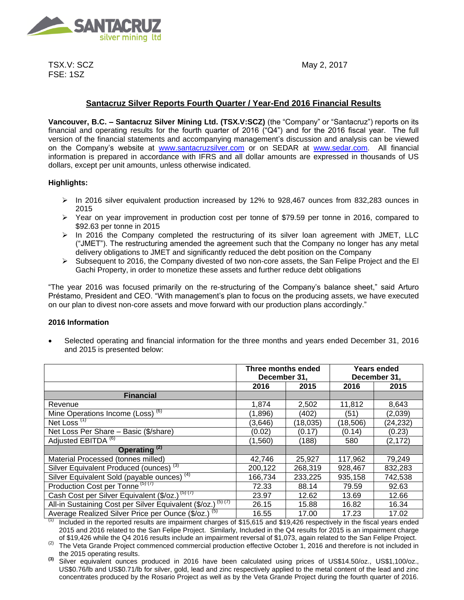

TSX.V: SCZ FSE: 1SZ

May 2, 2017

# **Santacruz Silver Reports Fourth Quarter / Year-End 2016 Financial Results**

**Vancouver, B.C. – Santacruz Silver Mining Ltd. (TSX.V:SCZ)** (the "Company" or "Santacruz") reports on its financial and operating results for the fourth quarter of 2016 ("Q4") and for the 2016 fiscal year. The full version of the financial statements and accompanying management's discussion and analysis can be viewed on the Company's website at [www.santacruzsilver.com](http://www.santacruzsilver.com/) or on SEDAR at [www.sedar.com.](http://www.sedar.com/) All financial information is prepared in accordance with IFRS and all dollar amounts are expressed in thousands of US dollars, except per unit amounts, unless otherwise indicated.

## **Highlights:**

- $\triangleright$  In 2016 silver equivalent production increased by 12% to 928,467 ounces from 832,283 ounces in 2015
- $\triangleright$  Year on year improvement in production cost per tonne of \$79.59 per tonne in 2016, compared to \$92.63 per tonne in 2015
- $\triangleright$  In 2016 the Company completed the restructuring of its silver loan agreement with JMET, LLC ("JMET"). The restructuring amended the agreement such that the Company no longer has any metal delivery obligations to JMET and significantly reduced the debt position on the Company
- $\triangleright$  Subsequent to 2016, the Company divested of two non-core assets, the San Felipe Project and the El Gachi Property, in order to monetize these assets and further reduce debt obligations

"The year 2016 was focused primarily on the re-structuring of the Company's balance sheet," said Arturo Préstamo, President and CEO. "With management's plan to focus on the producing assets, we have executed on our plan to divest non-core assets and move forward with our production plans accordingly."

#### **2016 Information**

 Selected operating and financial information for the three months and years ended December 31, 2016 and 2015 is presented below:

|                                                                         | Three months ended<br>December 31, |          | Years ended<br>December 31, |          |
|-------------------------------------------------------------------------|------------------------------------|----------|-----------------------------|----------|
|                                                                         | 2016                               | 2015     | 2016                        | 2015     |
| <b>Financial</b>                                                        |                                    |          |                             |          |
| Revenue                                                                 | 1,874                              | 2,502    | 11,812                      | 8,643    |
| Mine Operations Income (Loss) <sup>(6)</sup>                            | (1,896)                            | (402)    | (51)                        | (2,039)  |
| Net Loss <sup>(1)</sup>                                                 | (3,646)                            | (18,035) | (18, 506)                   | (24,232) |
| Net Loss Per Share - Basic (\$/share)                                   | (0.02)                             | (0.17)   | (0.14)                      | (0.23)   |
| Adjusted EBITDA <sup>(6)</sup>                                          | (1,560)                            | (188)    | 580                         | (2, 172) |
| Operating <sup>(2)</sup>                                                |                                    |          |                             |          |
| Material Processed (tonnes milled)                                      | 42,746                             | 25,927   | 117,962                     | 79,249   |
| Silver Equivalent Produced (ounces) <sup>(3)</sup>                      | 200,122                            | 268,319  | 928,467                     | 832,283  |
| Silver Equivalent Sold (payable ounces) <sup>(4)</sup>                  | 166,734                            | 233,225  | 935,158                     | 742,538  |
| Production Cost per Tonne <sup>(5)(7)</sup>                             | 72.33                              | 88.14    | 79.59                       | 92.63    |
| Cash Cost per Silver Equivalent (\$/oz.) <sup>(5)(7)</sup>              | 23.97                              | 12.62    | 13.69                       | 12.66    |
| All-in Sustaining Cost per Silver Equivalent (\$/oz.) <sup>(5)(7)</sup> | 26.15                              | 15.88    | 16.82                       | 16.34    |
| Average Realized Silver Price per Ounce (\$/oz.) <sup>(5)</sup>         | 16.55                              | 17.00    | 17.23                       | 17.02    |

 $(1)$  Included in the reported results are impairment charges of \$15,615 and \$19,426 respectively in the fiscal years ended 2015 and 2016 related to the San Felipe Project. Similarly, Included in the Q4 results for 2015 is an impairment charge of \$19,426 while the Q4 2016 results include an impairment reversal of \$1,073, again related to the San Felipe Project.

 $(2)$  The Veta Grande Project commenced commercial production effective October 1, 2016 and therefore is not included in the 2015 operating results.

**(3)** Silver equivalent ounces produced in 2016 have been calculated using prices of US\$14.50/oz., US\$1,100/oz., US\$0.76/lb and US\$0.71/lb for silver, gold, lead and zinc respectively applied to the metal content of the lead and zinc concentrates produced by the Rosario Project as well as by the Veta Grande Project during the fourth quarter of 2016.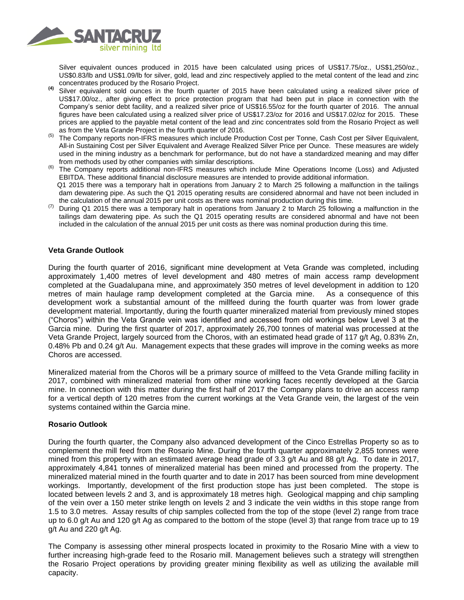

Silver equivalent ounces produced in 2015 have been calculated using prices of US\$17.75/oz., US\$1,250/oz., US\$0.83/lb and US\$1.09/lb for silver, gold, lead and zinc respectively applied to the metal content of the lead and zinc concentrates produced by the Rosario Project.

- **(4)** Silver equivalent sold ounces in the fourth quarter of 2015 have been calculated using a realized silver price of US\$17.00/oz., after giving effect to price protection program that had been put in place in connection with the Company's senior debt facility, and a realized silver price of US\$16.55/oz for the fourth quarter of 2016. The annual figures have been calculated using a realized silver price of US\$17.23/oz for 2016 and US\$17.02/oz for 2015. These prices are applied to the payable metal content of the lead and zinc concentrates sold from the Rosario Project as well as from the Veta Grande Project in the fourth quarter of 2016.
- (5) The Company reports non-IFRS measures which include Production Cost per Tonne, Cash Cost per Silver Equivalent, All-in Sustaining Cost per Silver Equivalent and Average Realized Silver Price per Ounce. These measures are widely used in the mining industry as a benchmark for performance, but do not have a standardized meaning and may differ from methods used by other companies with similar descriptions.
- (6) The Company reports additional non-IFRS measures which include Mine Operations Income (Loss) and Adjusted EBITDA. These additional financial disclosure measures are intended to provide additional information. Q1 2015 there was a temporary halt in operations from January 2 to March 25 following a malfunction in the tailings dam dewatering pipe. As such the Q1 2015 operating results are considered abnormal and have not been included in the calculation of the annual 2015 per unit costs as there was nominal production during this time.
- During Q1 2015 there was a temporary halt in operations from January 2 to March 25 following a malfunction in the tailings dam dewatering pipe. As such the Q1 2015 operating results are considered abnormal and have not been included in the calculation of the annual 2015 per unit costs as there was nominal production during this time.

#### **Veta Grande Outlook**

During the fourth quarter of 2016, significant mine development at Veta Grande was completed, including approximately 1,400 metres of level development and 480 metres of main access ramp development completed at the Guadalupana mine, and approximately 350 metres of level development in addition to 120 metres of main haulage ramp development completed at the Garcia mine. As a consequence of this development work a substantial amount of the millfeed during the fourth quarter was from lower grade development material. Importantly, during the fourth quarter mineralized material from previously mined stopes ("Choros") within the Veta Grande vein was identified and accessed from old workings below Level 3 at the Garcia mine. During the first quarter of 2017, approximately 26,700 tonnes of material was processed at the Veta Grande Project, largely sourced from the Choros, with an estimated head grade of 117 g/t Ag, 0.83% Zn, 0.48% Pb and 0.24 g/t Au. Management expects that these grades will improve in the coming weeks as more Choros are accessed.

Mineralized material from the Choros will be a primary source of millfeed to the Veta Grande milling facility in 2017, combined with mineralized material from other mine working faces recently developed at the Garcia mine. In connection with this matter during the first half of 2017 the Company plans to drive an access ramp for a vertical depth of 120 metres from the current workings at the Veta Grande vein, the largest of the vein systems contained within the Garcia mine.

#### **Rosario Outlook**

During the fourth quarter, the Company also advanced development of the Cinco Estrellas Property so as to complement the mill feed from the Rosario Mine. During the fourth quarter approximately 2,855 tonnes were mined from this property with an estimated average head grade of 3.3 g/t Au and 88 g/t Ag. To date in 2017, approximately 4,841 tonnes of mineralized material has been mined and processed from the property. The mineralized material mined in the fourth quarter and to date in 2017 has been sourced from mine development workings. Importantly, development of the first production stope has just been completed. The stope is located between levels 2 and 3, and is approximately 18 metres high. Geological mapping and chip sampling of the vein over a 150 meter strike length on levels 2 and 3 indicate the vein widths in this stope range from 1.5 to 3.0 metres. Assay results of chip samples collected from the top of the stope (level 2) range from trace up to 6.0 g/t Au and 120 g/t Ag as compared to the bottom of the stope (level 3) that range from trace up to 19 g/t Au and 220 g/t Ag.

The Company is assessing other mineral prospects located in proximity to the Rosario Mine with a view to further increasing high-grade feed to the Rosario mill. Management believes such a strategy will strengthen the Rosario Project operations by providing greater mining flexibility as well as utilizing the available mill capacity.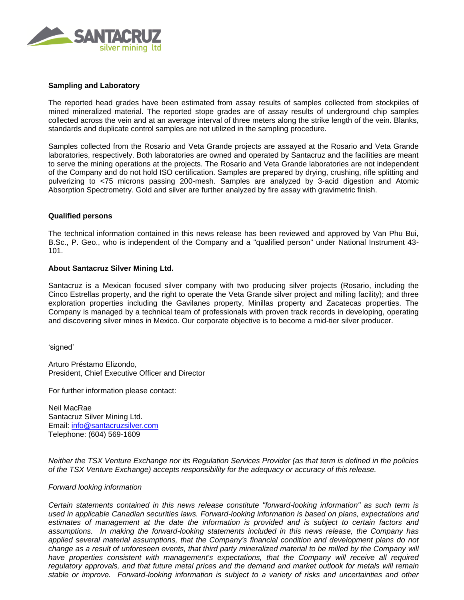

### **Sampling and Laboratory**

The reported head grades have been estimated from assay results of samples collected from stockpiles of mined mineralized material. The reported stope grades are of assay results of underground chip samples collected across the vein and at an average interval of three meters along the strike length of the vein. Blanks, standards and duplicate control samples are not utilized in the sampling procedure.

Samples collected from the Rosario and Veta Grande projects are assayed at the Rosario and Veta Grande laboratories, respectively. Both laboratories are owned and operated by Santacruz and the facilities are meant to serve the mining operations at the projects. The Rosario and Veta Grande laboratories are not independent of the Company and do not hold ISO certification. Samples are prepared by drying, crushing, rifle splitting and pulverizing to <75 microns passing 200-mesh. Samples are analyzed by 3-acid digestion and Atomic Absorption Spectrometry. Gold and silver are further analyzed by fire assay with gravimetric finish.

#### **Qualified persons**

The technical information contained in this news release has been reviewed and approved by Van Phu Bui, B.Sc., P. Geo., who is independent of the Company and a "qualified person" under National Instrument 43- 101.

#### **About Santacruz Silver Mining Ltd.**

Santacruz is a Mexican focused silver company with two producing silver projects (Rosario, including the Cinco Estrellas property, and the right to operate the Veta Grande silver project and milling facility); and three exploration properties including the Gavilanes property, Minillas property and Zacatecas properties. The Company is managed by a technical team of professionals with proven track records in developing, operating and discovering silver mines in Mexico. Our corporate objective is to become a mid-tier silver producer.

'signed'

Arturo Préstamo Elizondo, President, Chief Executive Officer and Director

For further information please contact:

Neil MacRae Santacruz Silver Mining Ltd. Email: [info@santacruzsilver.com](mailto:infonmacrae@santacruzsilver.com) Telephone: (604) 569-1609

*Neither the TSX Venture Exchange nor its Regulation Services Provider (as that term is defined in the policies of the TSX Venture Exchange) accepts responsibility for the adequacy or accuracy of this release.* 

#### *Forward looking information*

*Certain statements contained in this news release constitute "forward-looking information" as such term is used in applicable Canadian securities laws. Forward-looking information is based on plans, expectations and estimates of management at the date the information is provided and is subject to certain factors and assumptions. In making the forward-looking statements included in this news release, the Company has applied several material assumptions, that the Company's financial condition and development plans do not change as a result of unforeseen events, that third party mineralized material to be milled by the Company will have properties consistent with management's expectations, that the Company will receive all required regulatory approvals, and that future metal prices and the demand and market outlook for metals will remain stable or improve. Forward-looking information is subject to a variety of risks and uncertainties and other*